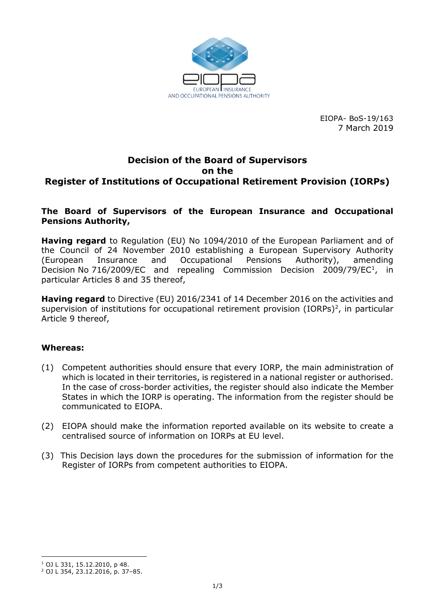

EIOPA- BoS-19/163 7 March 2019

## **Decision of the Board of Supervisors on the Register of Institutions of Occupational Retirement Provision (IORPs)**

#### **The Board of Supervisors of the European Insurance and Occupational Pensions Authority,**

**Having regard** to Regulation (EU) No 1094/2010 of the European Parliament and of the Council of 24 November 2010 establishing a European Supervisory Authority (European Insurance and Occupational Pensions Authority), amending Decision No 716/2009/EC and repealing Commission Decision 2009/79/EC<sup>1</sup>, in particular Articles 8 and 35 thereof,

**Having regard** to Directive (EU) 2016/2341 of 14 December 2016 on the activities and supervision of institutions for occupational retirement provision (IORPs) $^2$ , in particular Article 9 thereof,

#### **Whereas:**

- (1) Competent authorities should ensure that every IORP, the main administration of which is located in their territories, is registered in a national register or authorised. In the case of cross-border activities, the register should also indicate the Member States in which the IORP is operating. The information from the register should be communicated to EIOPA.
- (2) EIOPA should make the information reported available on its website to create a centralised source of information on IORPs at EU level.
- (3) This Decision lays down the procedures for the submission of information for the Register of IORPs from competent authorities to EIOPA.

<sup>1</sup> <sup>1</sup> OJ L 331, 15.12.2010, p 48.

<sup>2</sup> OJ L 354, 23.12.2016, p. 37–85.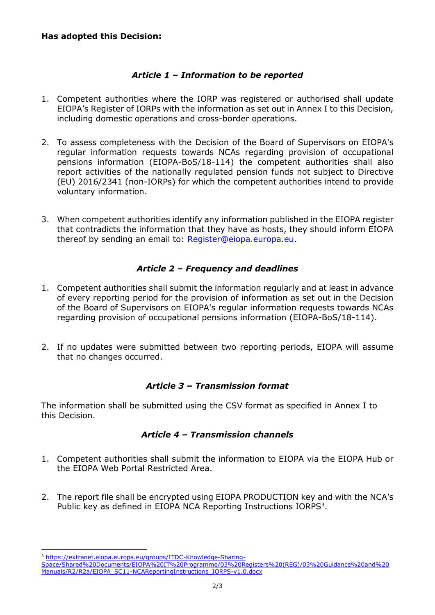# *Article 1 – Information to be reported*

- 1. Competent authorities where the IORP was registered or authorised shall update EIOPA's Register of IORPs with the information as set out in Annex I to this Decision, including domestic operations and cross-border operations.
- 2. To assess completeness with the Decision of the Board of Supervisors on EIOPA's regular information requests towards NCAs regarding provision of occupational pensions information (EIOPA-BoS/18-114) the competent authorities shall also report activities of the nationally regulated pension funds not subject to Directive (EU) 2016/2341 (non-IORPs) for which the competent authorities intend to provide voluntary information.
- 3. When competent authorities identify any information published in the EIOPA register that contradicts the information that they have as hosts, they should inform EIOPA thereof by sending an email to: [Register@eiopa.europa.eu.](mailto:Register@eiopa.europa.eu)

## *Article 2 – Frequency and deadlines*

- 1. Competent authorities shall submit the information regularly and at least in advance of every reporting period for the provision of information as set out in the Decision of the Board of Supervisors on EIOPA's regular information requests towards NCAs regarding provision of occupational pensions information (EIOPA-BoS/18-114).
- 2. If no updates were submitted between two reporting periods, EIOPA will assume that no changes occurred.

## *Article 3 – Transmission format*

The information shall be submitted using the CSV format as specified in Annex I to this Decision.

## *Article 4 – Transmission channels*

- 1. Competent authorities shall submit the information to EIOPA via the EIOPA Hub or the EIOPA Web Portal Restricted Area.
- 2. The report file shall be encrypted using EIOPA PRODUCTION key and with the NCA's Public key as defined in EIOPA NCA Reporting Instructions IORPS<sup>3</sup>.

<sup>1</sup> <sup>3</sup> [https://extranet.eiopa.europa.eu/groups/ITDC-Knowledge-Sharing-](https://extranet.eiopa.europa.eu/groups/ITDC-Knowledge-Sharing-Space/Shared%20Documents/EIOPA%20IT%20Programme/03%20Registers%20(REG)/03%20Guidance%20and%20Manuals/R2/R2a/EIOPA_SC11-NCAReportingInstructions_IORPS-v1.0.docx)

[Space/Shared%20Documents/EIOPA%20IT%20Programme/03%20Registers%20\(REG\)/03%20Guidance%20and%20](https://extranet.eiopa.europa.eu/groups/ITDC-Knowledge-Sharing-Space/Shared%20Documents/EIOPA%20IT%20Programme/03%20Registers%20(REG)/03%20Guidance%20and%20Manuals/R2/R2a/EIOPA_SC11-NCAReportingInstructions_IORPS-v1.0.docx) [Manuals/R2/R2a/EIOPA\\_SC11-NCAReportingInstructions\\_IORPS-v1.0.docx](https://extranet.eiopa.europa.eu/groups/ITDC-Knowledge-Sharing-Space/Shared%20Documents/EIOPA%20IT%20Programme/03%20Registers%20(REG)/03%20Guidance%20and%20Manuals/R2/R2a/EIOPA_SC11-NCAReportingInstructions_IORPS-v1.0.docx)